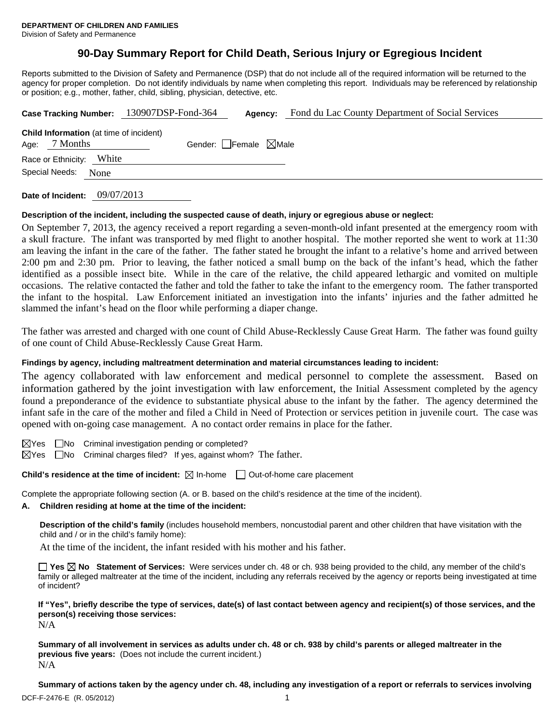# **90-Day Summary Report for Child Death, Serious Injury or Egregious Incident**

Reports submitted to the Division of Safety and Permanence (DSP) that do not include all of the required information will be returned to the agency for proper completion. Do not identify individuals by name when completing this report. Individuals may be referenced by relationship or position; e.g., mother, father, child, sibling, physician, detective, etc.

|                                                                 | Case Tracking Number: 130907DSP-Fond-364 | Agency:                         | Fond du Lac County Department of Social Services |  |  |  |
|-----------------------------------------------------------------|------------------------------------------|---------------------------------|--------------------------------------------------|--|--|--|
| <b>Child Information</b> (at time of incident)<br>Age: 7 Months |                                          | Gender: Female $\boxtimes$ Male |                                                  |  |  |  |
| White<br>Race or Ethnicity:                                     |                                          |                                 |                                                  |  |  |  |
| Special Needs:<br>None                                          |                                          |                                 |                                                  |  |  |  |
|                                                                 |                                          |                                 |                                                  |  |  |  |

**Date of Incident:** 09/07/2013

### **Description of the incident, including the suspected cause of death, injury or egregious abuse or neglect:**

On September 7, 2013, the agency received a report regarding a seven-month-old infant presented at the emergency room with a skull fracture. The infant was transported by med flight to another hospital. The mother reported she went to work at 11:30 am leaving the infant in the care of the father. The father stated he brought the infant to a relative's home and arrived between 2:00 pm and 2:30 pm. Prior to leaving, the father noticed a small bump on the back of the infant's head, which the father identified as a possible insect bite. While in the care of the relative, the child appeared lethargic and vomited on multiple occasions. The relative contacted the father and told the father to take the infant to the emergency room. The father transported the infant to the hospital. Law Enforcement initiated an investigation into the infants' injuries and the father admitted he slammed the infant's head on the floor while performing a diaper change.

The father was arrested and charged with one count of Child Abuse-Recklessly Cause Great Harm. The father was found guilty of one count of Child Abuse-Recklessly Cause Great Harm.

## **Findings by agency, including maltreatment determination and material circumstances leading to incident:**

The agency collaborated with law enforcement and medical personnel to complete the assessment. Based on information gathered by the joint investigation with law enforcement, the Initial Assessment completed by the agency found a preponderance of the evidence to substantiate physical abuse to the infant by the father. The agency determined the infant safe in the care of the mother and filed a Child in Need of Protection or services petition in juvenile court. The case was opened with on-going case management. A no contact order remains in place for the father.

 $\boxtimes$ Yes  $\Box$ No Criminal investigation pending or completed?

 $\boxtimes$ Yes  $\Box$ No Criminal charges filed? If yes, against whom? The father.

**Child's residence at the time of incident:**  $\boxtimes$  In-home  $\Box$  Out-of-home care placement

Complete the appropriate following section (A. or B. based on the child's residence at the time of the incident).

## **A. Children residing at home at the time of the incident:**

**Description of the child's family** (includes household members, noncustodial parent and other children that have visitation with the child and / or in the child's family home):

At the time of the incident, the infant resided with his mother and his father.

**Yes No Statement of Services:** Were services under ch. 48 or ch. 938 being provided to the child, any member of the child's family or alleged maltreater at the time of the incident, including any referrals received by the agency or reports being investigated at time of incident?

**If "Yes", briefly describe the type of services, date(s) of last contact between agency and recipient(s) of those services, and the person(s) receiving those services:** 

N/A

**Summary of all involvement in services as adults under ch. 48 or ch. 938 by child's parents or alleged maltreater in the previous five years:** (Does not include the current incident.) N/A

**Summary of actions taken by the agency under ch. 48, including any investigation of a report or referrals to services involving**